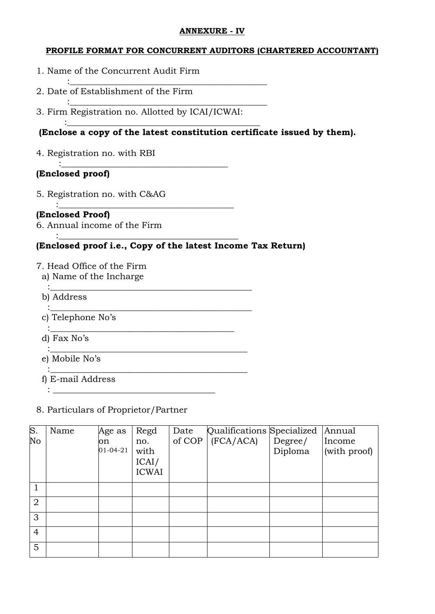#### **ANNEXURE - IV**

### **PROFILE FORMAT FOR CONCURRENT AUDITORS (CHARTERED ACCOUNTANT)**

- 1. Name of the Concurrent Audit Firm
- 2. Date of Establishment of the Firm
- 3. Firm Registration no. Allotted by ICAI/ICWAI:

: where the contract of the contract of the contract of  $\mathcal{L}_\mathbf{z}$ 

 $\mathcal{L}^{\mathcal{L}}$  :  $\mathcal{L}^{\mathcal{L}}$  :  $\mathcal{L}^{\mathcal{L}}$  ,  $\mathcal{L}^{\mathcal{L}}$  ,  $\mathcal{L}^{\mathcal{L}}$  ,  $\mathcal{L}^{\mathcal{L}}$  ,  $\mathcal{L}^{\mathcal{L}}$  ,  $\mathcal{L}^{\mathcal{L}}$  ,  $\mathcal{L}^{\mathcal{L}}$  ,  $\mathcal{L}^{\mathcal{L}}$  ,  $\mathcal{L}^{\mathcal{L}}$  ,  $\mathcal{L}^{\mathcal{L}}$  ,  $\mathcal{$ 

: the contribution of the contribution of  $\mathcal{L}_\mathbf{z}$  , we can also the contribution of  $\mathcal{L}_\mathbf{z}$ 

: the contribution of  $\mathcal{L}$  is the contribution of  $\mathcal{L}$  . The contribution of  $\mathcal{L}$ 

: the contribution of  $\mathcal{L}$  is the contribution of  $\mathcal{L}$  . The contribution of  $\mathcal{L}$ 

: the contribution of  $\mathcal{L}$  is the contribution of  $\mathcal{L}$  . The contribution of  $\mathcal{L}$ 

:\_\_\_\_\_\_\_\_\_\_\_\_\_\_\_\_\_\_\_\_\_\_\_\_\_\_\_\_\_\_\_\_\_\_\_\_\_\_\_\_\_\_\_\_\_

:\_\_\_\_\_\_\_\_\_\_\_\_\_\_\_\_\_\_\_\_\_\_\_\_\_\_\_\_\_\_\_\_\_\_\_\_\_\_\_\_\_\_\_\_\_

:\_\_\_\_\_\_\_\_\_\_\_\_\_\_\_\_\_\_\_\_\_\_\_\_\_\_\_\_\_\_\_\_\_\_\_\_\_\_\_\_\_\_\_\_

## **(Enclose a copy of the latest constitution certificate issued by them).**

4. Registration no. with RBI

### **(Enclosed proof)**

5. Registration no. with C&AG

#### $\mathcal{L}^{\text{max}}_{\text{max}}$  ,  $\mathcal{L}^{\text{max}}_{\text{max}}$  ,  $\mathcal{L}^{\text{max}}_{\text{max}}$  ,  $\mathcal{L}^{\text{max}}_{\text{max}}$  ,  $\mathcal{L}^{\text{max}}_{\text{max}}$  ,  $\mathcal{L}^{\text{max}}_{\text{max}}$ **(Enclosed Proof)**

6. Annual income of the Firm

### **(Enclosed proof i.e., Copy of the latest Income Tax Return)**

- 7. Head Office of the Firm
	- a) Name of the Incharge
	- b) Address
- : the contribution of the contribution of  $\mathcal{L}_\mathbf{z}$  , we can also the contribution of  $\mathcal{L}_\mathbf{z}$  c) Telephone No's
	- d) Fax No's
	- e) Mobile No's
	- f) E-mail Address

#### 8. Particulars of Proprietor/Partner

:  $\frac{1}{2}$  ,  $\frac{1}{2}$  ,  $\frac{1}{2}$  ,  $\frac{1}{2}$  ,  $\frac{1}{2}$  ,  $\frac{1}{2}$  ,  $\frac{1}{2}$  ,  $\frac{1}{2}$  ,  $\frac{1}{2}$  ,  $\frac{1}{2}$  ,  $\frac{1}{2}$  ,  $\frac{1}{2}$  ,  $\frac{1}{2}$  ,  $\frac{1}{2}$  ,  $\frac{1}{2}$  ,  $\frac{1}{2}$  ,  $\frac{1}{2}$  ,  $\frac{1}{2}$  ,  $\frac$ 

| $\overline{\mathbf{S}}$ . | Name | Age as         | Regd         | Date     | Qualifications Specialized |         | Annual       |
|---------------------------|------|----------------|--------------|----------|----------------------------|---------|--------------|
| No                        |      | on             | no.          | of $COP$ | (FCA/ACA)                  | Degree/ | Income       |
|                           |      | $01 - 04 - 21$ | with         |          |                            | Diploma | (with proof) |
|                           |      |                | ICAI/        |          |                            |         |              |
|                           |      |                | <b>ICWAI</b> |          |                            |         |              |
|                           |      |                |              |          |                            |         |              |
| $\overline{2}$            |      |                |              |          |                            |         |              |
| 3                         |      |                |              |          |                            |         |              |
| $\overline{4}$            |      |                |              |          |                            |         |              |
| 5                         |      |                |              |          |                            |         |              |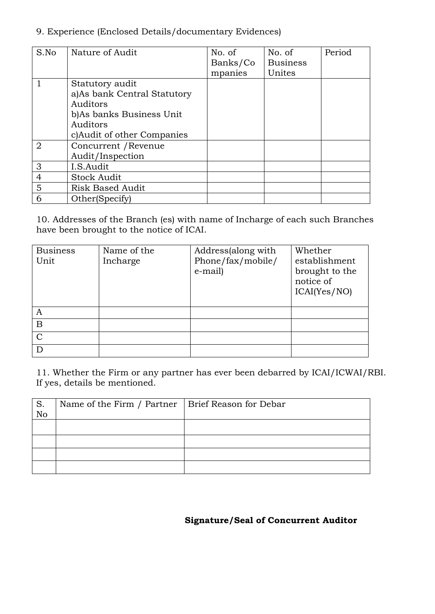### 9. Experience (Enclosed Details/documentary Evidences)

| S.No           | Nature of Audit             | No. of   | No. of          | Period |
|----------------|-----------------------------|----------|-----------------|--------|
|                |                             | Banks/Co | <b>Business</b> |        |
|                |                             | mpanies  | Unites          |        |
|                | Statutory audit             |          |                 |        |
|                | a)As bank Central Statutory |          |                 |        |
|                | Auditors                    |          |                 |        |
|                | b) As banks Business Unit   |          |                 |        |
|                | Auditors                    |          |                 |        |
|                | c) Audit of other Companies |          |                 |        |
| $\overline{2}$ | Concurrent / Revenue        |          |                 |        |
|                | Audit/Inspection            |          |                 |        |
| 3              | I.S.Audit                   |          |                 |        |
| $\overline{4}$ | <b>Stock Audit</b>          |          |                 |        |
| 5              | <b>Risk Based Audit</b>     |          |                 |        |
| 6              | Other(Specify)              |          |                 |        |

10. Addresses of the Branch (es) with name of Incharge of each such Branches have been brought to the notice of ICAI.

| <b>Business</b><br>Unit | Name of the<br>Incharge | Address(along with<br>Phone/fax/mobile/<br>e-mail) | Whether<br>establishment<br>brought to the<br>notice of<br>ICAI(Yes/NO) |
|-------------------------|-------------------------|----------------------------------------------------|-------------------------------------------------------------------------|
| A                       |                         |                                                    |                                                                         |
| $\mathbf B$             |                         |                                                    |                                                                         |
| $\mathcal{C}$           |                         |                                                    |                                                                         |
|                         |                         |                                                    |                                                                         |

11. Whether the Firm or any partner has ever been debarred by ICAI/ICWAI/RBI. If yes, details be mentioned.

| S.<br>No | Name of the Firm / Partner   Brief Reason for Debar |  |
|----------|-----------------------------------------------------|--|
|          |                                                     |  |
|          |                                                     |  |
|          |                                                     |  |
|          |                                                     |  |

# **Signature/Seal of Concurrent Auditor**